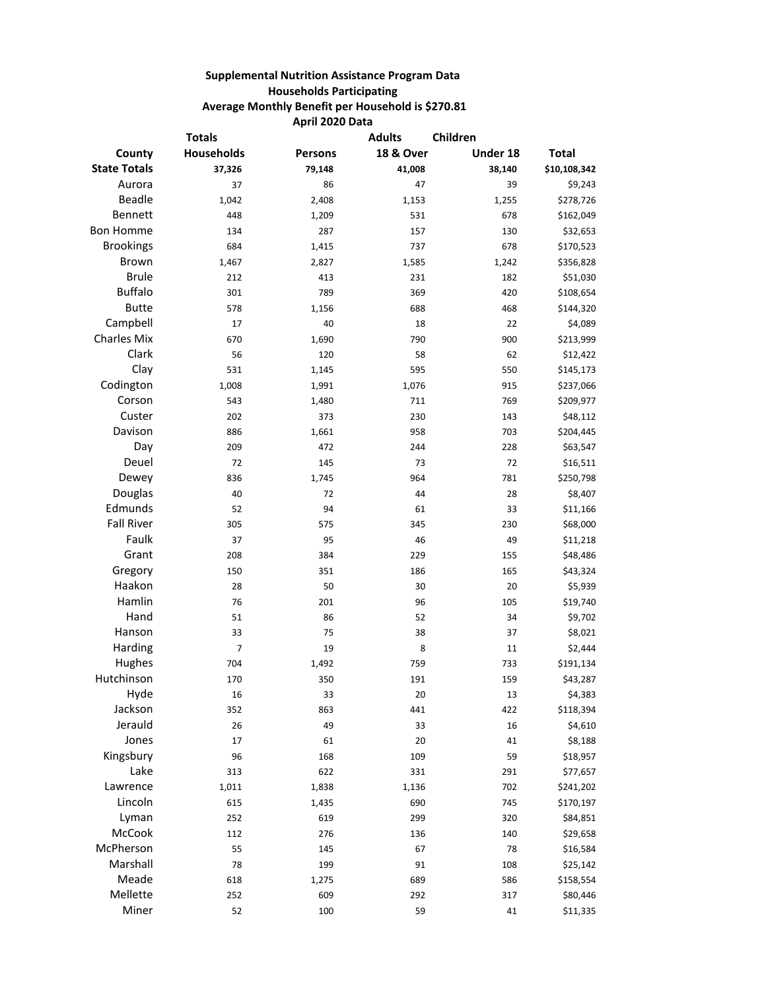## **Supplemental Nutrition Assistance Program Data Households Participating Average Monthly Benefit per Household is \$270.81 April 2020 Data**

| <b>Totals</b>       |            |                | <b>Adults</b>        | Children |              |  |
|---------------------|------------|----------------|----------------------|----------|--------------|--|
| County              | Households | <b>Persons</b> | <b>18 &amp; Over</b> | Under 18 | <b>Total</b> |  |
| <b>State Totals</b> | 37,326     | 79,148         | 41,008               | 38,140   | \$10,108,342 |  |
| Aurora              | 37         | 86             | 47                   | 39       | \$9,243      |  |
| <b>Beadle</b>       | 1,042      | 2,408          | 1,153                | 1,255    | \$278,726    |  |
| Bennett             | 448        | 1,209          | 531                  | 678      | \$162,049    |  |
| <b>Bon Homme</b>    | 134        | 287            | 157                  | 130      | \$32,653     |  |
| <b>Brookings</b>    | 684        | 1,415          | 737                  | 678      | \$170,523    |  |
| <b>Brown</b>        | 1,467      | 2,827          | 1,585                | 1,242    | \$356,828    |  |
| <b>Brule</b>        | 212        | 413            | 231                  | 182      | \$51,030     |  |
| <b>Buffalo</b>      | 301        | 789            | 369                  | 420      | \$108,654    |  |
| <b>Butte</b>        | 578        | 1,156          | 688                  | 468      | \$144,320    |  |
| Campbell            | 17         | 40             | 18                   | 22       | \$4,089      |  |
| <b>Charles Mix</b>  | 670        | 1,690          | 790                  | 900      | \$213,999    |  |
| Clark               | 56         | 120            | 58                   | 62       | \$12,422     |  |
| Clay                | 531        | 1,145          | 595                  | 550      | \$145,173    |  |
| Codington           | 1,008      | 1,991          | 1,076                | 915      | \$237,066    |  |
| Corson              | 543        | 1,480          | 711                  | 769      | \$209,977    |  |
| Custer              | 202        | 373            | 230                  | 143      | \$48,112     |  |
| Davison             | 886        | 1,661          | 958                  | 703      | \$204,445    |  |
| Day                 | 209        | 472            | 244                  | 228      | \$63,547     |  |
| Deuel               | 72         | 145            | 73                   | 72       | \$16,511     |  |
| Dewey               | 836        | 1,745          | 964                  | 781      | \$250,798    |  |
| Douglas             | 40         | 72             | 44                   | 28       | \$8,407      |  |
| Edmunds             | 52         | 94             | 61                   | 33       | \$11,166     |  |
| <b>Fall River</b>   | 305        | 575            | 345                  | 230      | \$68,000     |  |
| Faulk               | 37         | 95             | 46                   | 49       | \$11,218     |  |
| Grant               | 208        | 384            | 229                  | 155      | \$48,486     |  |
| Gregory             | 150        | 351            | 186                  | 165      | \$43,324     |  |
| Haakon              | 28         | 50             | 30                   | 20       | \$5,939      |  |
| Hamlin              | 76         | 201            | 96                   | 105      | \$19,740     |  |
| Hand                | 51         | 86             | 52                   | 34       | \$9,702      |  |
| Hanson              | 33         | 75             | 38                   | 37       | \$8,021      |  |
| Harding             | 7          | 19             | 8                    | 11       | \$2,444      |  |
| Hughes              | 704        | 1,492          | 759                  | 733      | \$191,134    |  |
| Hutchinson          | 170        | 350            | 191                  | 159      | \$43,287     |  |
| Hyde                | 16         | 33             | 20                   | 13       | \$4,383      |  |
| Jackson             | 352        | 863            | 441                  | 422      | \$118,394    |  |
| Jerauld             | 26         | 49             | 33                   | 16       | \$4,610      |  |
| Jones               | 17         | 61             | 20                   | 41       | \$8,188      |  |
| Kingsbury           | 96         | 168            | 109                  | 59       | \$18,957     |  |
| Lake                | 313        | 622            | 331                  | 291      | \$77,657     |  |
| Lawrence            | 1,011      | 1,838          | 1,136                | 702      | \$241,202    |  |
| Lincoln             | 615        | 1,435          | 690                  | 745      | \$170,197    |  |
| Lyman               | 252        | 619            | 299                  | 320      | \$84,851     |  |
| McCook              | 112        | 276            | 136                  | 140      | \$29,658     |  |
| McPherson           | 55         | 145            | 67                   | 78       | \$16,584     |  |
| Marshall            | 78         | 199            | 91                   | 108      | \$25,142     |  |
| Meade               | 618        | 1,275          | 689                  | 586      | \$158,554    |  |
| Mellette            | 252        | 609            | 292                  | 317      | \$80,446     |  |
| Miner               | 52         | 100            | 59                   | 41       | \$11,335     |  |